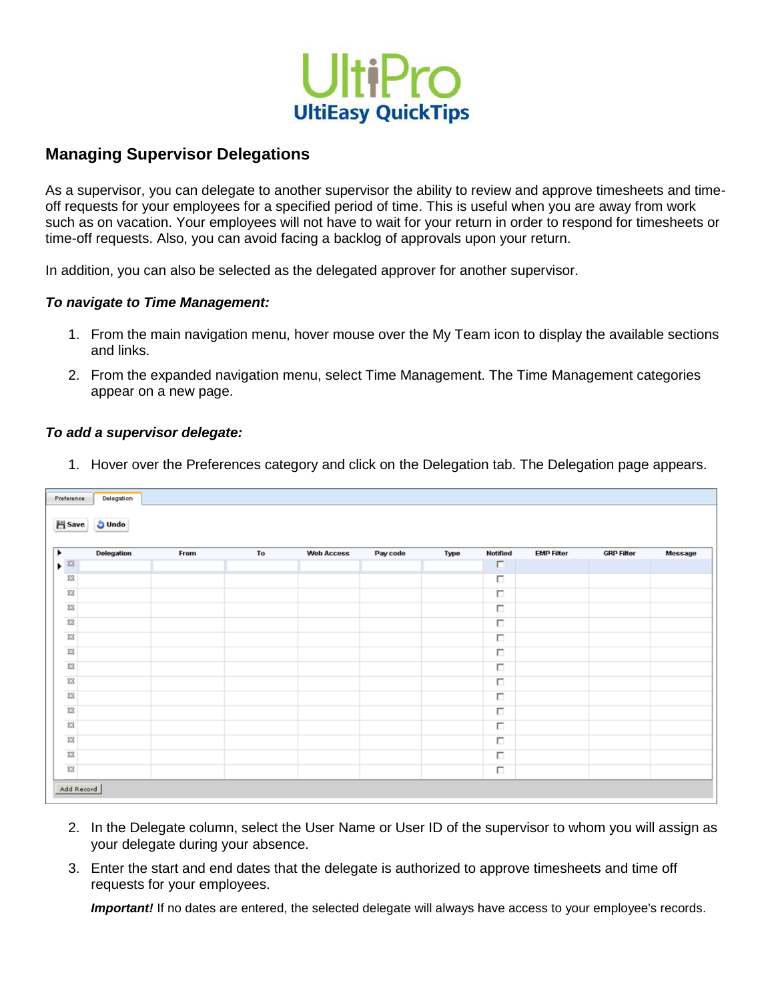

## **Managing Supervisor Delegations**

 As a supervisor, you can delegate to another supervisor the ability to review and approve timesheets and time- off requests for your employees for a specified period of time. This is useful when you are away from work such as on vacation. Your employees will not have to wait for your return in order to respond for timesheets or time-off requests. Also, you can avoid facing a backlog of approvals upon your return.

In addition, you can also be selected as the delegated approver for another supervisor.

## *To navigate to Time Management:*

- 1. From the main navigation menu, hover mouse over the My Team icon to display the available sections and links.
- and links. 2. From the expanded navigation menu, select Time Management. The Time Management categories appear on a new page.

## *To add a supervisor delegate:*

1. Hover over the Preferences category and click on the Delegation tab. The Delegation page appears.

| Preference                      | Delegation |      |    |                   |          |      |          |                   |                   |         |
|---------------------------------|------------|------|----|-------------------|----------|------|----------|-------------------|-------------------|---------|
| <b>El Save</b><br><b>J</b> Undo |            |      |    |                   |          |      |          |                   |                   |         |
| ٠                               | Delegation | From | To | <b>Web Access</b> | Pay code | Type | Notified | <b>EMP Filter</b> | <b>GRP Filter</b> | Message |
| $\blacktriangleright$ 83        |            |      |    |                   |          |      | $\Box$   |                   |                   |         |
| $\Sigma\!3$                     |            |      |    |                   |          |      | П        |                   |                   |         |
| $\Sigma\!3$                     |            |      |    |                   |          |      | П        |                   |                   |         |
| $\Sigma\!3$                     |            |      |    |                   |          |      | $\Box$   |                   |                   |         |
| $\Sigma\!3$                     |            |      |    |                   |          |      | П        |                   |                   |         |
| $\Sigma\!3$                     |            |      |    |                   |          |      | $\Box$   |                   |                   |         |
| 23                              |            |      |    |                   |          |      | $\Box$   |                   |                   |         |
| $\Sigma$                        |            |      |    |                   |          |      | П        |                   |                   |         |
| $\Sigma\!3$                     |            |      |    |                   |          |      | $\Box$   |                   |                   |         |
| $\Sigma\!3$                     |            |      |    |                   |          |      | П        |                   |                   |         |
| $\Sigma\!3$                     |            |      |    |                   |          |      | П        |                   |                   |         |
| $\Sigma\!3$                     |            |      |    |                   |          |      | $\Box$   |                   |                   |         |
| 23                              |            |      |    |                   |          |      | п        |                   |                   |         |
| $\Sigma\!3$                     |            |      |    |                   |          |      | П        |                   |                   |         |
| $\Sigma\!3$                     |            |      |    |                   |          |      | П        |                   |                   |         |
|                                 |            |      |    |                   |          |      |          |                   |                   |         |

- 2. In the Delegate column, select the User Name or User ID of the supervisor to whom you will assign as your delegate during your absence.
- 3. Enter the start and end dates that the delegate is authorized to approve timesheets and time off requests for your employees.

*Important!* If no dates are entered, the selected delegate will always have access to your employee's records.